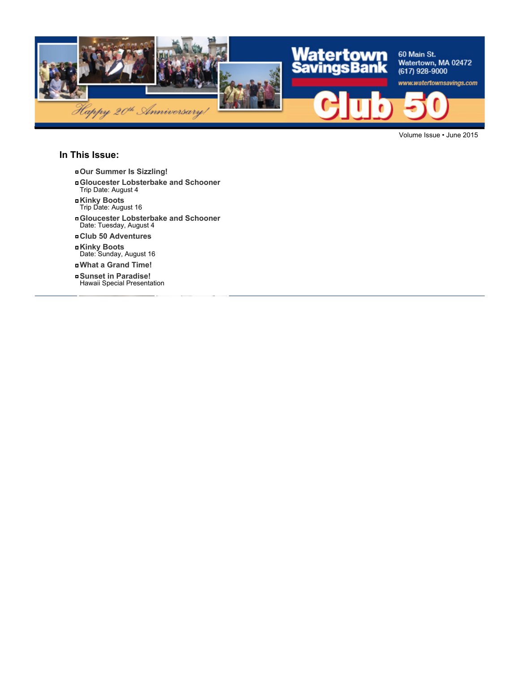

Volume Issue • June 2015

#### **In This Issue:**

- **Our Summer Is Sizzling!**
- **Gloucester Lobsterbake and Schooner** Trip Date: August 4
- **Kinky Boots** Trip Date: August 16
- **Gloucester Lobsterbake and Schooner** Date: Tuesday, August 4
- **Club 50 Adventures**
- **Kinky Boots** Date: Sunday, August 16
- **What a Grand Time!**
- **Sunset in Paradise!** Hawaii Special Presentation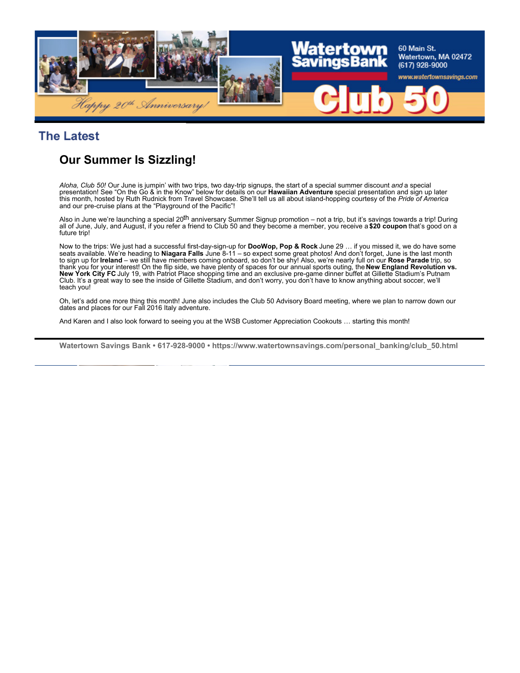

#### **The Latest**

# **Our Summer Is Sizzling!**

*Aloha, Club 50!* Our June is jumpin' with two trips, two day-trip signups, the start of a special summer discount *and* a special presentation! See "On the Go & in the Know" below for details on our **Hawaiian Adventure** special presentation and sign up later this month, hosted by Ruth Rudnick from Travel Showcase. She'll tell us all about island-hopping courtesy of the *Pride of America* and our pre-cruise plans at the "Playground of the Pacific"!

Also in June we're launching a special 20<sup>th</sup> anniversary Summer Signup promotion – not a trip, but it's savings towards a trip! During all of June, July, and August, if you refer a friend to Club 50 and they become a member, you receive a **\$20 coupon** that's good on a future trip!

Now to the trips: We just had a successful first-day-sign-up for **DooWop, Pop & Rock** June 29 … if you missed it, we do have some seats available. We're heading to **Niagara Falls** June 8-11 – so expect some great photos! And don't forget, June is the last month to sign up for **Ireland** – we still have members coming onboard, so don't be shy! Also, we're nearly full on our **Rose Parade** trip, so thank you for your interest! On the flip side, we have plenty of spaces for our annual sports outing, the **New England Revolution vs. New York City FC** July 19, with Patriot Place shopping time and an exclusive pre-game dinner buffet at Gillette Stadium's Putnam Club. It's a great way to see the inside of Gillette Stadium, and don't worry, you don't have to know anything about soccer, we'll teach you!

Oh, let's add one more thing this month! June also includes the Club 50 Advisory Board meeting, where we plan to narrow down our dates and places for our Fall 2016 Italy adventure.

And Karen and I also look forward to seeing you at the WSB Customer Appreciation Cookouts … starting this month!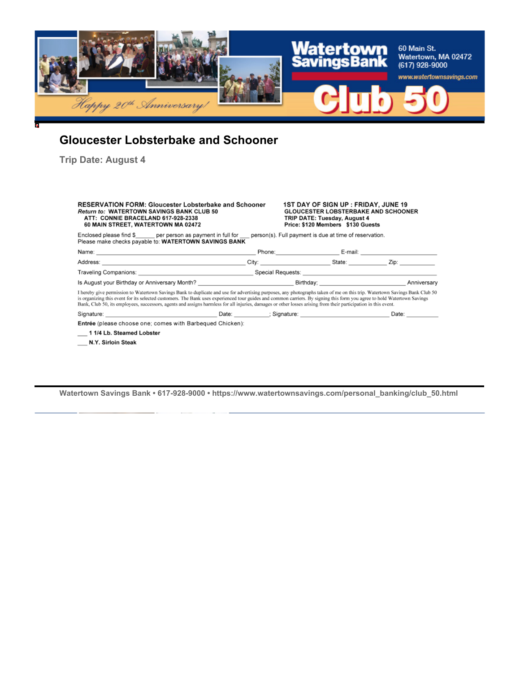

# **Gloucester Lobsterbake and Schooner**

**Trip Date: August 4**

| <b>RESERVATION FORM: Gloucester Lobsterbake and Schooner</b><br><b>Return to: WATERTOWN SAVINGS BANK CLUB 50</b><br>ATT: CONNIE BRACELAND 617-928-2338<br>60 MAIN STREET, WATERTOWN MA 02472                                                                                                                                                                                                                                                                                                                              |  | <b>1ST DAY OF SIGN UP : FRIDAY, JUNE 19</b><br><b>GLOUCESTER LOBSTERBAKE AND SCHOONER</b><br>TRIP DATE: Tuesday, August 4<br>Price: \$120 Members \$130 Guests |                         |  |  |  |  |
|---------------------------------------------------------------------------------------------------------------------------------------------------------------------------------------------------------------------------------------------------------------------------------------------------------------------------------------------------------------------------------------------------------------------------------------------------------------------------------------------------------------------------|--|----------------------------------------------------------------------------------------------------------------------------------------------------------------|-------------------------|--|--|--|--|
| Enclosed please find $\frac{1}{2}$ per person as payment in full for person(s). Full payment is due at time of reservation.<br>Please make checks payable to: WATERTOWN SAVINGS BANK                                                                                                                                                                                                                                                                                                                                      |  |                                                                                                                                                                |                         |  |  |  |  |
| Name: E-mail: E-mail: E-mail: E-mail: E-mail: E-mail: E-mail: E-mail: E-mail: E-mail: E-mail: E-mail: E-mail: E-mail: E-mail: E-mail: E-mail: E-mail: E-mail: E-mail: E-mail: E-mail: E-mail: E-mail: E-mail: E-mail: E-mail:                                                                                                                                                                                                                                                                                             |  |                                                                                                                                                                |                         |  |  |  |  |
|                                                                                                                                                                                                                                                                                                                                                                                                                                                                                                                           |  |                                                                                                                                                                | City: City: State: Zip: |  |  |  |  |
| Traveling Companions: Notice and Special Requests: Note and Special Requests: Note and Special Requests: Note and Special Requests: Note and Special Requests: Note and Special Requests: Note and Special Requests: Note and                                                                                                                                                                                                                                                                                             |  |                                                                                                                                                                |                         |  |  |  |  |
| Is August your Birthday or Anniversary Month? Notice that the control of the Birthday;                                                                                                                                                                                                                                                                                                                                                                                                                                    |  |                                                                                                                                                                | Anniversary             |  |  |  |  |
| I hereby give permission to Watertown Savings Bank to duplicate and use for advertising purposes, any photographs taken of me on this trip. Watertown Savings Bank Club 50<br>is organizing this event for its selected customers. The Bank uses experienced tour guides and common carriers. By signing this form you agree to hold Watertown Savings<br>Bank, Club 50, its employees, successors, agents and assigns harmless for all injuries, damages or other losses arising from their participation in this event. |  |                                                                                                                                                                |                         |  |  |  |  |
| Signature: Date: Date: Date: Signature: Signature: Date: Date: Date: Date: Date:                                                                                                                                                                                                                                                                                                                                                                                                                                          |  |                                                                                                                                                                |                         |  |  |  |  |
| Entrée (please choose one; comes with Barbequed Chicken):                                                                                                                                                                                                                                                                                                                                                                                                                                                                 |  |                                                                                                                                                                |                         |  |  |  |  |
| 1 1/4 Lb. Steamed Lobster                                                                                                                                                                                                                                                                                                                                                                                                                                                                                                 |  |                                                                                                                                                                |                         |  |  |  |  |
| N.Y. Sirloin Steak                                                                                                                                                                                                                                                                                                                                                                                                                                                                                                        |  |                                                                                                                                                                |                         |  |  |  |  |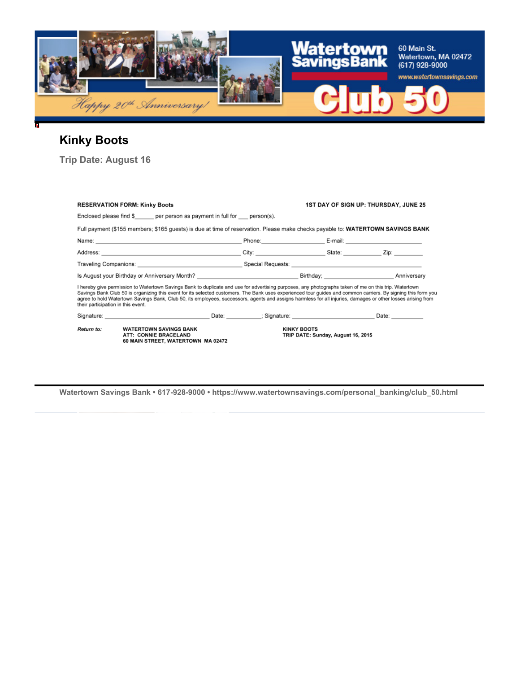

# **Kinky Boots**

**Trip Date: August 16**

| <b>RESERVATION FORM: Kinky Boots</b>                                                                                                                                                                                                                                                                                                                                                                                                                                                                                         |                                                                                                                                                                                                                                |  |                                                                                                                                                                                                                                | <b>1ST DAY OF SIGN UP: THURSDAY, JUNE 25</b> |                    |  |  |
|------------------------------------------------------------------------------------------------------------------------------------------------------------------------------------------------------------------------------------------------------------------------------------------------------------------------------------------------------------------------------------------------------------------------------------------------------------------------------------------------------------------------------|--------------------------------------------------------------------------------------------------------------------------------------------------------------------------------------------------------------------------------|--|--------------------------------------------------------------------------------------------------------------------------------------------------------------------------------------------------------------------------------|----------------------------------------------|--------------------|--|--|
|                                                                                                                                                                                                                                                                                                                                                                                                                                                                                                                              | Enclosed please find $\frac{1}{2}$ per person as payment in full for person(s).                                                                                                                                                |  |                                                                                                                                                                                                                                |                                              |                    |  |  |
|                                                                                                                                                                                                                                                                                                                                                                                                                                                                                                                              | Full payment (\$155 members; \$165 quests) is due at time of reservation. Please make checks payable to: WATERTOWN SAVINGS BANK                                                                                                |  |                                                                                                                                                                                                                                |                                              |                    |  |  |
|                                                                                                                                                                                                                                                                                                                                                                                                                                                                                                                              |                                                                                                                                                                                                                                |  | Phone: E-mail: E-mail: E-mail: E-mail: E-mail: E-mail: E-mail: E-mail: E-mail: E-mail: E-mail: E-mail: E-mail: E-mail: E-mail: E-mail: E-mail: E-mail: E-mail: E-mail: E-mail: E-mail: E-mail: E-mail: E-mail: E-mail: E-mail: |                                              |                    |  |  |
|                                                                                                                                                                                                                                                                                                                                                                                                                                                                                                                              |                                                                                                                                                                                                                                |  |                                                                                                                                                                                                                                |                                              |                    |  |  |
|                                                                                                                                                                                                                                                                                                                                                                                                                                                                                                                              |                                                                                                                                                                                                                                |  |                                                                                                                                                                                                                                |                                              |                    |  |  |
|                                                                                                                                                                                                                                                                                                                                                                                                                                                                                                                              | Is August your Birthday or Anniversary Month? <b>August 2018</b> Birthday; <b>August 2018</b> Anniversary                                                                                                                      |  |                                                                                                                                                                                                                                |                                              |                    |  |  |
| I hereby give permission to Watertown Savings Bank to duplicate and use for advertising purposes, any photographs taken of me on this trip. Watertown<br>Savings Bank Club 50 is organizing this event for its selected customers. The Bank uses experienced tour guides and common carriers. By signing this form you<br>agree to hold Watertown Savings Bank, Club 50, its employees, successors, agents and assigns harmless for all injuries, damages or other losses arising from<br>their participation in this event. |                                                                                                                                                                                                                                |  |                                                                                                                                                                                                                                |                                              |                    |  |  |
|                                                                                                                                                                                                                                                                                                                                                                                                                                                                                                                              | Signature: Contract Contract Contract Contract Contract Contract Contract Contract Contract Contract Contract Contract Contract Contract Contract Contract Contract Contract Contract Contract Contract Contract Contract Cont |  |                                                                                                                                                                                                                                |                                              | Date: <b>Date:</b> |  |  |
| Return to:                                                                                                                                                                                                                                                                                                                                                                                                                                                                                                                   | <b>WATERTOWN SAVINGS BANK</b><br>ATT: CONNIE BRACELAND<br>60 MAIN STREET, WATERTOWN MA 02472                                                                                                                                   |  | <b>KINKY BOOTS</b>                                                                                                                                                                                                             | TRIP DATE: Sunday, August 16, 2015           |                    |  |  |

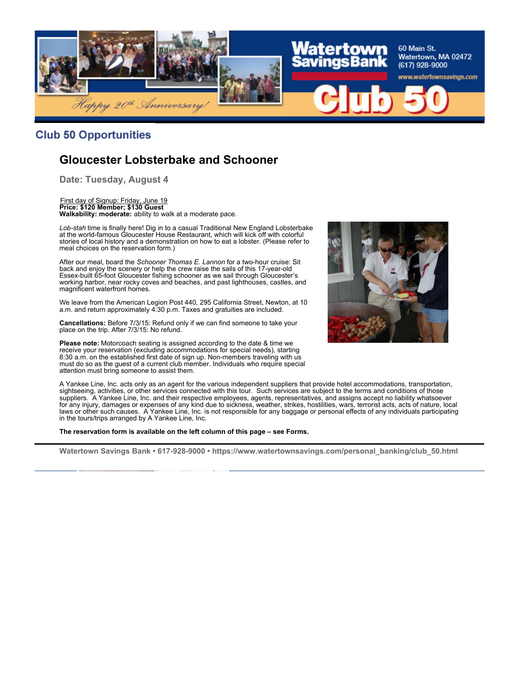

#### **Club 50 Opportunities**

## **Gloucester Lobsterbake and Schooner**

**Date: Tuesday, August 4**

First day of Signup: Friday, June 19 **Price: \$120 Member; \$130 Guest Walkability: moderate:** ability to walk at a moderate pace.

*Lob-stah* time is finally here! Dig in to a casual Traditional New England Lobsterbake at the world-famous Gloucester House Restaurant, which will kick off with colorful stories of local history and a demonstration on how to eat a lobster. (Please refer to meal choices on the reservation form.)

After our meal, board the *Schooner Thomas E. Lannon* for a two-hour cruise: Sit back and enjoy the scenery or help the crew raise the sails of this 17-year-old Essex-built 65-foot Gloucester fishing schooner as we sail through Gloucester's working harbor, near rocky coves and beaches, and past lighthouses, castles, and magnificent waterfront homes.

We leave from the American Legion Post 440, 295 California Street, Newton, at 10 a.m. and return approximately 4:30 p.m. Taxes and gratuities are included.

**Cancellations:** Before 7/3/15: Refund only if we can find someone to take your place on the trip. After 7/3/15: No refund.

**Please note:** Motorcoach seating is assigned according to the date & time we receive your reservation (excluding accommodations for special needs), starting 8:30 a.m. on the established first date of sign up. Non-members traveling with us must do so as the guest of a current club member. Individuals who require special attention must bring someone to assist them.



A Yankee Line, Inc. acts only as an agent for the various independent suppliers that provide hotel accommodations, transportation, sightseeing, activities, or other services connected with this tour. Such services are subject to the terms and conditions of those suppliers. A Yankee Line, Inc. and their respective employees, agents, representatives, and assigns accept no liability whatsoever for any injury, damages or expenses of any kind due to sickness, weather, strikes, hostilities, wars, terrorist acts, acts of nature, local laws or other such causes. A Yankee Line, Inc. is not responsible for any baggage or personal effects of any individuals participating in the tours/trips arranged by A Yankee Line, Inc.

**The reservation form is available on the left column of this page – see Forms.**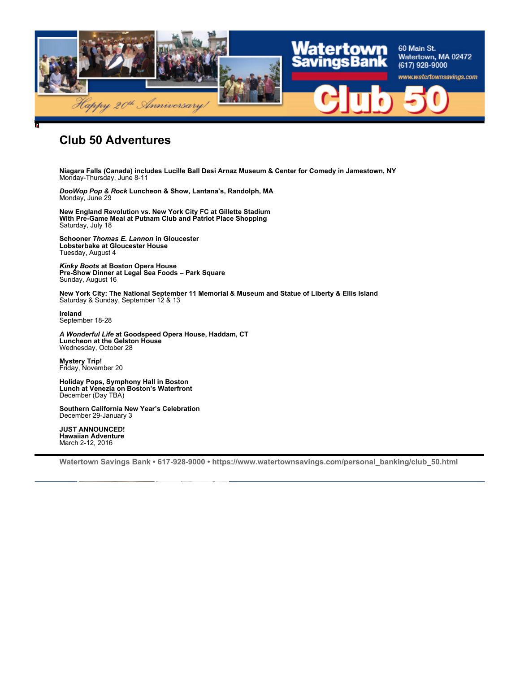

#### **Club 50 Adventures**

**Niagara Falls (Canada) includes Lucille Ball Desi Arnaz Museum & Center for Comedy in Jamestown, NY** Monday-Thursday, June 8-11

*DooWop Pop & Rock* **Luncheon & Show, Lantana's, Randolph, MA** Monday, June 29

**New England Revolution vs. New York City FC at Gillette Stadium With Pre-Game Meal at Putnam Club and Patriot Place Shopping** Saturday, July 18

**Schooner** *Thomas E. Lannon* **in Gloucester Lobsterbake at Gloucester House** Tuesday, August 4

*Kinky Boots* **at Boston Opera House Pre-Show Dinner at Legal Sea Foods – Park Square** Sunday, August 16

**New York City: The National September 11 Memorial & Museum and Statue of Liberty & Ellis Island** Saturday & Sunday, September 12 & 13

**Ireland** September 18-28

*A Wonderful Life* **at Goodspeed Opera House, Haddam, CT Luncheon at the Gelston House** Wednesday, October 28

**Mystery Trip!** Friday, November 20

**Holiday Pops, Symphony Hall in Boston Lunch at Venezia on Boston's Waterfront** December (Day TBA)

**Southern California New Year's Celebration** December 29-January 3

**JUST ANNOUNCED! Hawaiian Adventure** March 2-12, 2016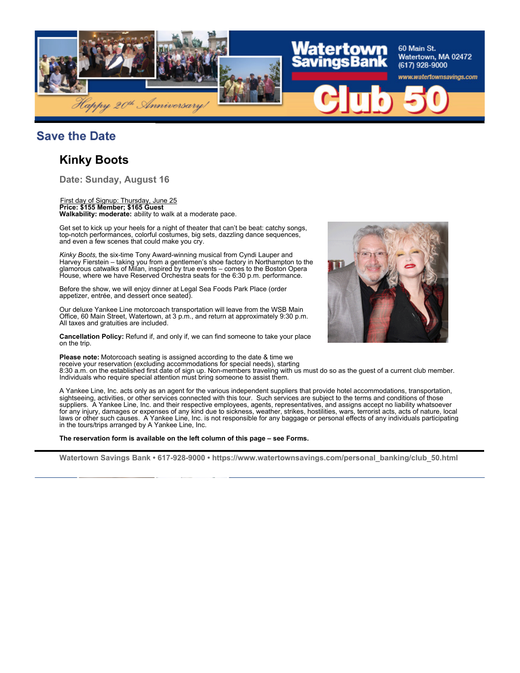

#### **Save the Date**

#### **Kinky Boots**

**Date: Sunday, August 16**

#### First day of Signup: Thursday, June 25 **Price: \$155 Member; \$165 Guest Walkability: moderate:** ability to walk at a moderate pace.

Get set to kick up your heels for a night of theater that can't be beat: catchy songs, top-notch performances, colorful costumes, big sets, dazzling dance sequences, and even a few scenes that could make you cry.

*Kinky Boots,* the six-time Tony Award-winning musical from Cyndi Lauper and Harvey Fierstein – taking you from a gentlemen's shoe factory in Northampton to the glamorous catwalks of Milan, inspired by true events – comes to the Boston Opera House, where we have Reserved Orchestra seats for the 6:30 p.m. performance.

Before the show, we will enjoy dinner at Legal Sea Foods Park Place (order appetizer, entrée, and dessert once seated).

Our deluxe Yankee Line motorcoach transportation will leave from the WSB Main Office, 60 Main Street, Watertown, at 3 p.m., and return at approximately 9:30 p.m. All taxes and gratuities are included.

**Cancellation Policy:** Refund if, and only if, we can find someone to take your place on the trip.

**Please note:** Motorcoach seating is assigned according to the date & time we receive your reservation (excluding accommodations for special needs), starting 8:30 a.m. on the established first date of sign up. Non-members traveling with us must do so as the guest of a current club member. Individuals who require special attention must bring someone to assist them.

A Yankee Line, Inc. acts only as an agent for the various independent suppliers that provide hotel accommodations, transportation, sightseeing, activities, or other services connected with this tour. Such services are subject to the terms and conditions of those suppliers. A Yankee Line, Inc. and their respective employees, agents, representatives, and assigns accept no liability whatsoever for any injury, damages or expenses of any kind due to sickness, weather, strikes, hostilities, wars, terrorist acts, acts of nature, local laws or other such causes. A Yankee Line, Inc. is not responsible for any baggage or personal effects of any individuals participating in the tours/trips arranged by A Yankee Line, Inc.

**The reservation form is available on the left column of this page – see Forms.**

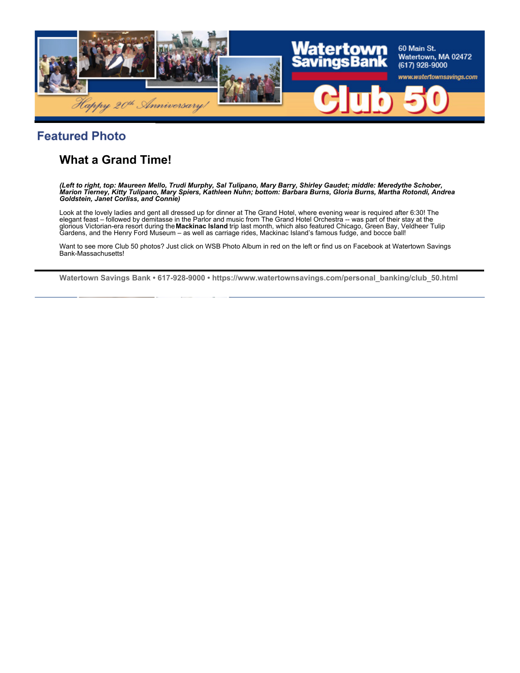

### **Featured Photo**

# **What a Grand Time!**

*(Left to right, top: Maureen Mello, Trudi Murphy, Sal Tulipano, Mary Barry, Shirley Gaudet; middle: Meredythe Schober, Marion Tierney, Kitty Tulipano, Mary Spiers, Kathleen Nuhn; bottom: Barbara Burns, Gloria Burns, Martha Rotondi, Andrea Goldstein, Janet Corliss, and Connie)*

Look at the lovely ladies and gent all dressed up for dinner at The Grand Hotel, where evening wear is required after 6:30! The elegant feast – followed by demitasse in the Parlor and music from The Grand Hotel Orchestra -- was part of their stay at the glorious Victorian-era resort during the **Mackinac Island** trip last month, which also featured Chicago, Green Bay, Veldheer Tulip Gardens, and the Henry Ford Museum – as well as carriage rides, Mackinac Island's famous fudge, and bocce ball!

Want to see more Club 50 photos? Just click on WSB Photo Album in red on the left or find us on Facebook at Watertown Savings Bank-Massachusetts!